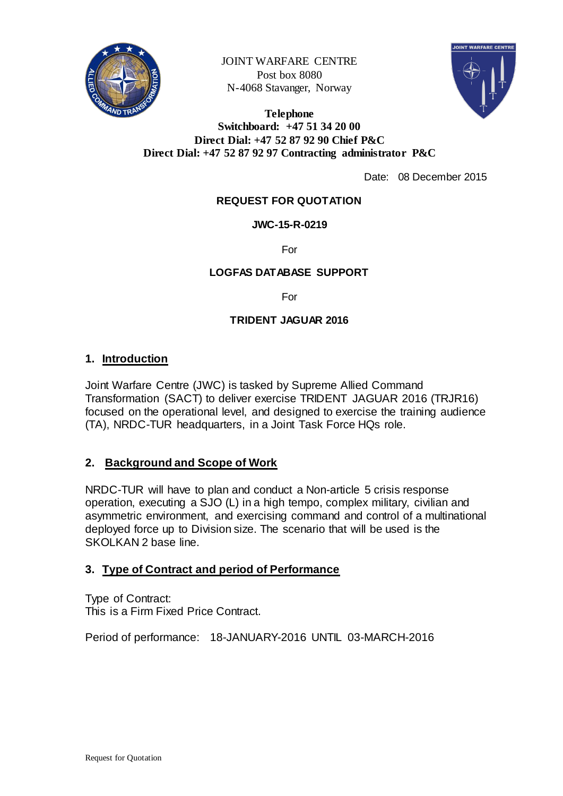

JOINT WARFARE CENTRE Post box 8080 N-4068 Stavanger, Norway



**Telephone Switchboard: +47 51 34 20 00 Direct Dial: +47 52 87 92 90 Chief P&C Direct Dial: +47 52 87 92 97 Contracting administrator P&C**

Date: 08 December 2015

# **REQUEST FOR QUOTATION**

# **JWC-15-R-0219**

For

### **LOGFAS DATABASE SUPPORT**

For

# **TRIDENT JAGUAR 2016**

# **1. Introduction**

Joint Warfare Centre (JWC) is tasked by Supreme Allied Command Transformation (SACT) to deliver exercise TRIDENT JAGUAR 2016 (TRJR16) focused on the operational level, and designed to exercise the training audience (TA), NRDC-TUR headquarters, in a Joint Task Force HQs role.

# **2. Background and Scope of Work**

NRDC-TUR will have to plan and conduct a Non-article 5 crisis response operation, executing a SJO (L) in a high tempo, complex military, civilian and asymmetric environment, and exercising command and control of a multinational deployed force up to Division size. The scenario that will be used is the SKOLKAN 2 base line.

# **3. Type of Contract and period of Performance**

Type of Contract: This is a Firm Fixed Price Contract.

Period of performance: 18-JANUARY-2016 UNTIL 03-MARCH-2016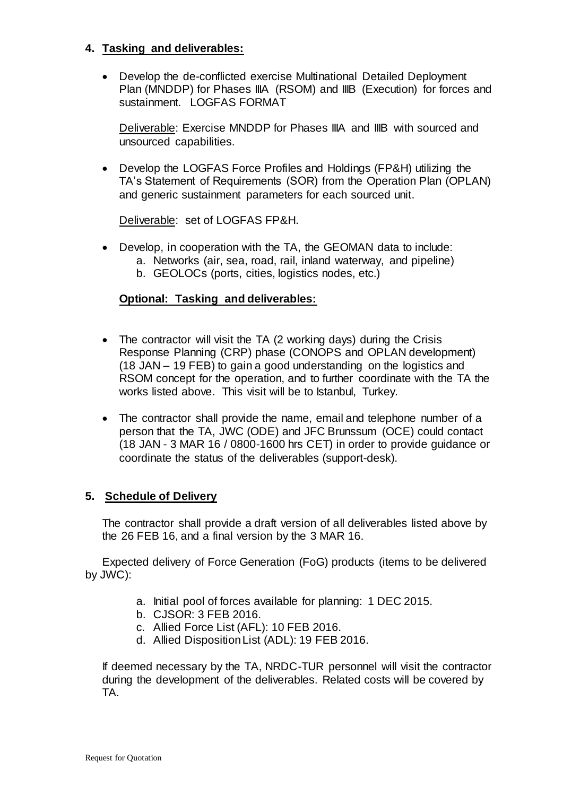# **4. Tasking and deliverables:**

 Develop the de-conflicted exercise Multinational Detailed Deployment Plan (MNDDP) for Phases IIIA (RSOM) and IIIB (Execution) for forces and sustainment. LOGFAS FORMAT

Deliverable: Exercise MNDDP for Phases IIIA and IIIB with sourced and unsourced capabilities.

 Develop the LOGFAS Force Profiles and Holdings (FP&H) utilizing the TA's Statement of Requirements (SOR) from the Operation Plan (OPLAN) and generic sustainment parameters for each sourced unit.

Deliverable: set of LOGFAS FP&H.

 Develop, in cooperation with the TA, the GEOMAN data to include: a. Networks (air, sea, road, rail, inland waterway, and pipeline) b. GEOLOCs (ports, cities, logistics nodes, etc.)

# **Optional: Tasking and deliverables:**

- The contractor will visit the TA (2 working days) during the Crisis Response Planning (CRP) phase (CONOPS and OPLAN development) (18 JAN – 19 FEB) to gain a good understanding on the logistics and RSOM concept for the operation, and to further coordinate with the TA the works listed above. This visit will be to Istanbul, Turkey.
- The contractor shall provide the name, email and telephone number of a person that the TA, JWC (ODE) and JFC Brunssum (OCE) could contact (18 JAN - 3 MAR 16 / 0800-1600 hrs CET) in order to provide guidance or coordinate the status of the deliverables (support-desk).

# **5. Schedule of Delivery**

The contractor shall provide a draft version of all deliverables listed above by the 26 FEB 16, and a final version by the 3 MAR 16.

Expected delivery of Force Generation (FoG) products (items to be delivered by JWC):

- a. Initial pool of forces available for planning: 1 DEC 2015.
- b. CJSOR: 3 FEB 2016.
- c. Allied Force List (AFL): 10 FEB 2016.
- d. Allied Disposition List (ADL): 19 FEB 2016.

If deemed necessary by the TA, NRDC-TUR personnel will visit the contractor during the development of the deliverables. Related costs will be covered by TA.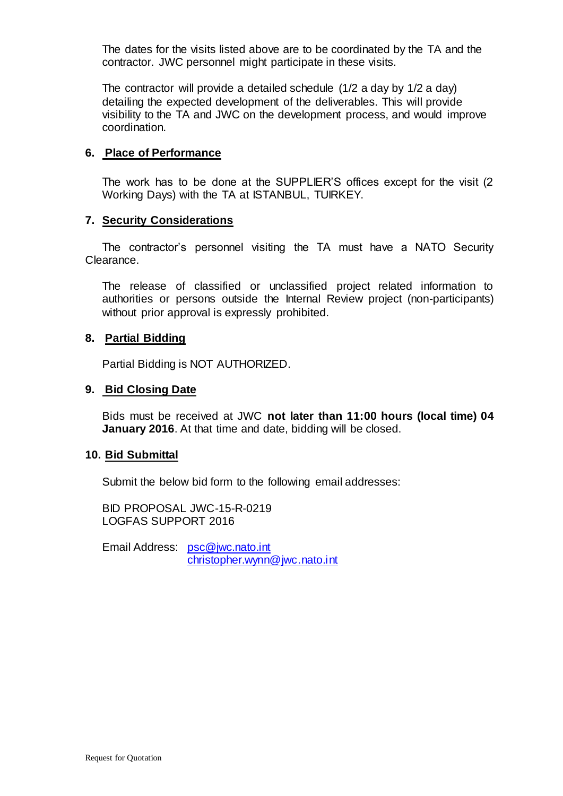The dates for the visits listed above are to be coordinated by the TA and the contractor. JWC personnel might participate in these visits.

The contractor will provide a detailed schedule (1/2 a day by 1/2 a day) detailing the expected development of the deliverables. This will provide visibility to the TA and JWC on the development process, and would improve coordination.

### **6. Place of Performance**

The work has to be done at the SUPPLIER'S offices except for the visit (2 Working Days) with the TA at ISTANBUL, TUIRKEY.

### **7. Security Considerations**

The contractor's personnel visiting the TA must have a NATO Security Clearance.

The release of classified or unclassified project related information to authorities or persons outside the Internal Review project (non-participants) without prior approval is expressly prohibited.

# **8. Partial Bidding**

Partial Bidding is NOT AUTHORIZED.

### **9. Bid Closing Date**

Bids must be received at JWC **not later than 11:00 hours (local time) 04 January 2016**. At that time and date, bidding will be closed.

#### **10. Bid Submittal**

Submit the below bid form to the following email addresses:

BID PROPOSAL JWC-15-R-0219 LOGFAS SUPPORT 2016

Email Address: [psc@jwc.nato.int](mailto:psc@jwc.nato.int) [christopher.wynn@jwc.nato.int](mailto:roberto.rodriguez-santiago@jwc.nato.int)